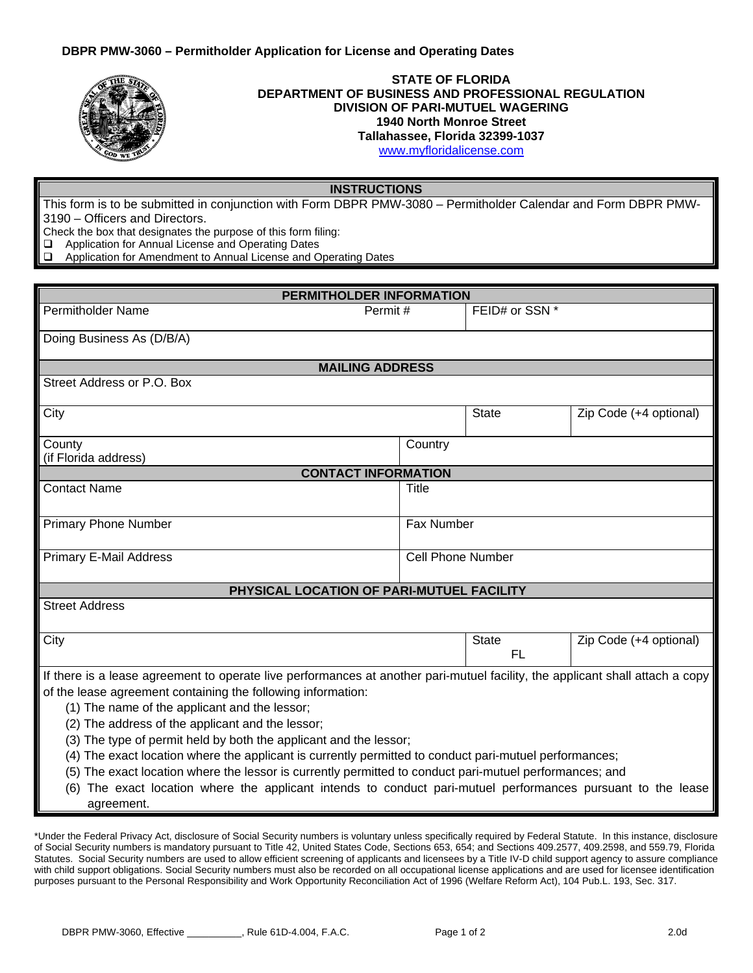

## **STATE OF FLORIDA DEPARTMENT OF BUSINESS AND PROFESSIONAL REGULATION DIVISION OF PARI-MUTUEL WAGERING 1940 North Monroe Street Tallahassee, Florida 32399-1037**

[www.myfloridalicense.com](http://www.myfloridalicense.com/)

## **INSTRUCTIONS**

This form is to be submitted in conjunction with Form DBPR PMW-3080 – Permitholder Calendar and Form DBPR PMW-3190 – Officers and Directors.

Check the box that designates the purpose of this form filing:

 $\Box$  Application for Annual License and Operating Dates  $\Box$  Application for Amendment to Annual License and O

Application for Amendment to Annual License and Operating Dates

| PERMITHOLDER INFORMATION                                                                                                      |              |                          |                        |  |
|-------------------------------------------------------------------------------------------------------------------------------|--------------|--------------------------|------------------------|--|
| <b>Permitholder Name</b>                                                                                                      | Permit#      |                          | FEID# or SSN *         |  |
| Doing Business As (D/B/A)                                                                                                     |              |                          |                        |  |
| <b>MAILING ADDRESS</b>                                                                                                        |              |                          |                        |  |
| Street Address or P.O. Box                                                                                                    |              |                          |                        |  |
|                                                                                                                               |              |                          |                        |  |
| City                                                                                                                          |              | <b>State</b>             | Zip Code (+4 optional) |  |
| County                                                                                                                        | Country      |                          |                        |  |
| (if Florida address)                                                                                                          |              |                          |                        |  |
| <b>CONTACT INFORMATION</b>                                                                                                    |              |                          |                        |  |
| <b>Contact Name</b>                                                                                                           | <b>Title</b> |                          |                        |  |
| <b>Primary Phone Number</b>                                                                                                   |              | Fax Number               |                        |  |
|                                                                                                                               |              |                          |                        |  |
| <b>Primary E-Mail Address</b>                                                                                                 |              | <b>Cell Phone Number</b> |                        |  |
|                                                                                                                               |              |                          |                        |  |
| PHYSICAL LOCATION OF PARI-MUTUEL FACILITY                                                                                     |              |                          |                        |  |
| <b>Street Address</b>                                                                                                         |              |                          |                        |  |
| City                                                                                                                          |              | <b>State</b>             | Zip Code (+4 optional) |  |
|                                                                                                                               |              | <b>FL</b>                |                        |  |
| If there is a lease agreement to operate live performances at another pari-mutuel facility, the applicant shall attach a copy |              |                          |                        |  |
| of the lease agreement containing the following information:                                                                  |              |                          |                        |  |
| (1) The name of the applicant and the lessor;                                                                                 |              |                          |                        |  |
| (2) The address of the applicant and the lessor;                                                                              |              |                          |                        |  |
| (3) The type of permit held by both the applicant and the lessor;                                                             |              |                          |                        |  |
| (4) The exact location where the applicant is currently permitted to conduct pari-mutuel performances;                        |              |                          |                        |  |
| (5) The exact location where the lessor is currently permitted to conduct pari-mutuel performances; and                       |              |                          |                        |  |
| (6) The exact location where the applicant intends to conduct pari-mutuel performances pursuant to the lease                  |              |                          |                        |  |
| agreement.                                                                                                                    |              |                          |                        |  |

\*Under the Federal Privacy Act, disclosure of Social Security numbers is voluntary unless specifically required by Federal Statute. In this instance, disclosure of Social Security numbers is mandatory pursuant to Title 42, United States Code, Sections 653, 654; and Sections 409.2577, 409.2598, and 559.79, Florida Statutes. Social Security numbers are used to allow efficient screening of applicants and licensees by a Title IV-D child support agency to assure compliance with child support obligations. Social Security numbers must also be recorded on all occupational license applications and are used for licensee identification purposes pursuant to the Personal Responsibility and Work Opportunity Reconciliation Act of 1996 (Welfare Reform Act), 104 Pub.L. 193, Sec. 317.